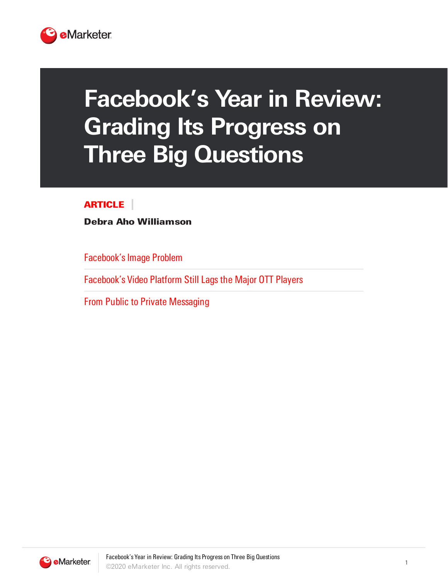

# **Facebook's Year in Review: Grading Its Progress on Three Big Questions**

### ARTICLE

Debra Aho Williamson

Facebook's Image Problem

Facebook's Video Platform Still Lags the Major OTT Players

From Public to Private Messaging

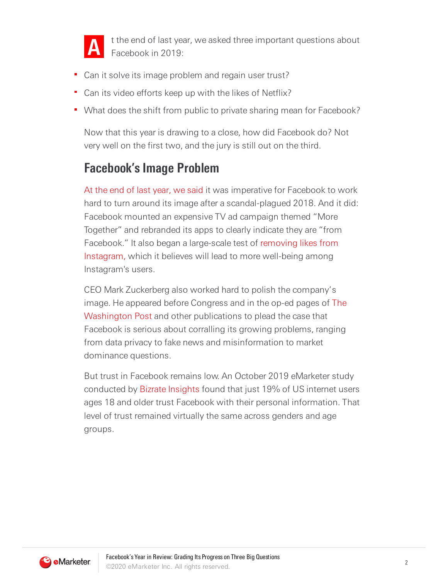

t the end of last year, we asked three important questions about Facebook in 2019:

- Can it solve its image problem and regain user trust?
- Can its video efforts keep up with the likes of Netflix?
- **What does the shift from public to private sharing mean for Facebook?**

Now that this year is drawing to a close, how did Facebook do? Not very well on the first two, and the jury is still out on the third.

### **Facebook's Image Problem**

At the end of last year, we said it was imperative for Facebook to work hard to turn around its image after a scandal-plagued 2018. And it did: Facebook mounted an expensive TV ad campaign themed "More Together" and rebranded its apps to clearly indicate they are "from Facebook." It also began a large-scale test of removing likes from Instagram, which it believes will lead to more well-being among Instagram's users.

CEO Mark Zuckerberg also worked hard to polish the company's image. He appeared before Congress and in the op-ed pages of The [Washington](https://www.washingtonpost.com/opinions/mark-zuckerberg-the-internet-needs-new-rules-lets-start-in-these-four-areas/2019/03/29/9e6f0504-521a-11e9-a3f7-78b7525a8d5f_story.html) Post and other publications to plead the case that Facebook is serious about corralling its growing problems, ranging from data privacy to fake news and misinformation to market dominance questions.

But trust in Facebook remains low. An October 2019 eMarketer study conducted by Bizrate [Insights](https://bizrateinsights.com/) found that just 19% of US internet users ages 18 and older trust Facebook with their personal information. That level of trust remained virtually the same across genders and age groups.

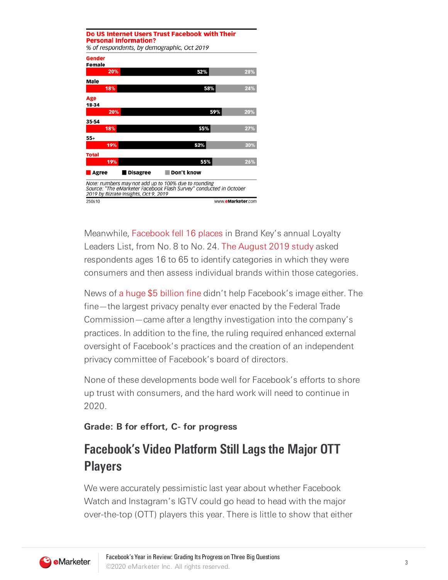|                  | <b>Personal Information?</b>          | Do US Internet Users Trust Facebook with Their<br>% of respondents, by demographic, Oct 2019                               |     |
|------------------|---------------------------------------|----------------------------------------------------------------------------------------------------------------------------|-----|
| Gender<br>Female |                                       |                                                                                                                            |     |
| 20%              |                                       | 52%                                                                                                                        | 28% |
| Male             |                                       |                                                                                                                            |     |
| 18%              |                                       | 58%                                                                                                                        | 24% |
| Age<br>18-34     |                                       |                                                                                                                            |     |
| 20%              |                                       | 59%                                                                                                                        | 20% |
| 35-54            |                                       |                                                                                                                            |     |
| 18%              |                                       | 55%                                                                                                                        | 27% |
| $55+$            |                                       |                                                                                                                            |     |
| 19%              |                                       | 52%                                                                                                                        | 30% |
| <b>Total</b>     |                                       |                                                                                                                            |     |
| 19%              |                                       | 55%                                                                                                                        | 26% |
| Agree            | <b>Disagree</b>                       | Don't know                                                                                                                 |     |
|                  | 2019 by Bizrate Insights, Oct 9, 2019 | Note: numbers may not add up to 100% due to rounding<br>Source: "The eMarketer Facebook Flash Survey" conducted in October |     |
| 250610           |                                       | www.eMarketer.com                                                                                                          |     |

Meanwhile, [Facebook](https://s3.amazonaws.com/media.mediapost.com/uploads/BrandkeysLoyaltyLeaders.pdf) fell 16 places in Brand Key's annual Loyalty Leaders List, from No. 8 to No. 24. The [August](https://brandkeys.com/wp-content/uploads/2019/09/Press-Release-2019-Loyalty-Leaders.pdf) 2019 study asked respondents ages 16 to 65 to identify categories in which they were consumers and then assess individual brands within those categories.

News of a huge \$5 [billion](https://www.ftc.gov/news-events/press-releases/2019/07/ftc-imposes-5-billion-penalty-sweeping-new-privacy-restrictions?utm_source=slider) fine didn't help Facebook's image either. The fine—the largest privacy penalty ever enacted by the Federal Trade Commission—came after a lengthy investigation into the company's practices. In addition to the fine, the ruling required enhanced external oversight of Facebook's practices and the creation of an independent privacy committee of Facebook's board of directors.

None of these developments bode well for Facebook's efforts to shore up trust with consumers, and the hard work will need to continue in 2020.

#### **Grade: B for effort, C- for progress**

## **Facebook's Video Platform Still Lags the Major OTT Players**

We were accurately pessimistic last year about whether Facebook Watch and Instagram's IGTV could go head to head with the major over-the-top (OTT) players this year. There is little to show that either

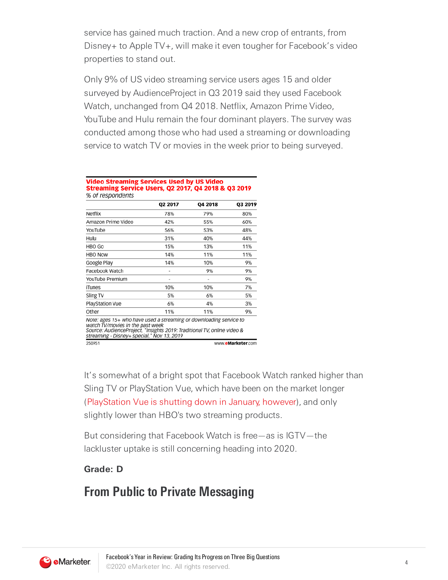service has gained much traction. And a new crop of entrants, from Disney+ to Apple TV+, will make it even tougher for Facebook's video properties to stand out.

Only 9% of US video streaming service users ages 15 and older surveyed by AudienceProject in Q3 2019 said they used Facebook Watch, unchanged from Q4 2018. Netflix, Amazon Prime Video, YouTube and Hulu remain the four dominant players. The survey was conducted among those who had used a streaming or downloading service to watch TV or movies in the week prior to being surveyed.

#### Video Streaming Services Used by US Video **Streaming Service Users, Q2 2017, Q4 2018 & Q3 2019** % of respondents

|                                                                                                                                                                                                                                 | Q2 2017 | Q4 2018 | Q3 2019 |
|---------------------------------------------------------------------------------------------------------------------------------------------------------------------------------------------------------------------------------|---------|---------|---------|
| Netflix                                                                                                                                                                                                                         | 78%     | 79%     | 80%     |
| Amazon Prime Video                                                                                                                                                                                                              | 42%     | 55%     | 60%     |
| YouTube                                                                                                                                                                                                                         | 56%     | 53%     | 48%     |
| Hulu                                                                                                                                                                                                                            | 31%     | 40%     | 44%     |
| HBO Go                                                                                                                                                                                                                          | 15%     | 13%     | 11%     |
| HBO Now                                                                                                                                                                                                                         | 14%     | 11%     | 11%     |
| Google Play                                                                                                                                                                                                                     | 14%     | 10%     | 9%      |
| Facebook Watch                                                                                                                                                                                                                  | ۰       | 9%      | 9%      |
| YouTube Premium                                                                                                                                                                                                                 | $\sim$  | ٠       | 9%      |
| iTunes                                                                                                                                                                                                                          | 10%     | 10%     | 7%      |
| Sling TV                                                                                                                                                                                                                        | 5%      | 6%      | 5%      |
| PlayStation Vue                                                                                                                                                                                                                 | 6%      | 4%      | 3%      |
| Other                                                                                                                                                                                                                           | 11%     | 11%     | 9%      |
| Note: ages 15+ who have used a streaming or downloading service to<br>watch TV/movies in the past week<br>Source: AudienceProject, "Insights 2019: Traditional TV, online video &<br>streaming - Disney+ special," Nov 13, 2019 |         |         |         |

It's somewhat of a bright spot that Facebook Watch ranked higher than Sling TV or PlayStation Vue, which have been on the market longer ([PlayStation](https://blog.us.playstation.com/2019/10/29/sony-interactive-entertainment-to-shut-down-playstation-vue/) Vue is shutting down in January, however), and only slightly lower than HBO's two streaming products.

But considering that Facebook Watch is free—as is IGTV—the lackluster uptake is still concerning heading into 2020.

#### **Grade: D**

### **From Public to Private Messaging**